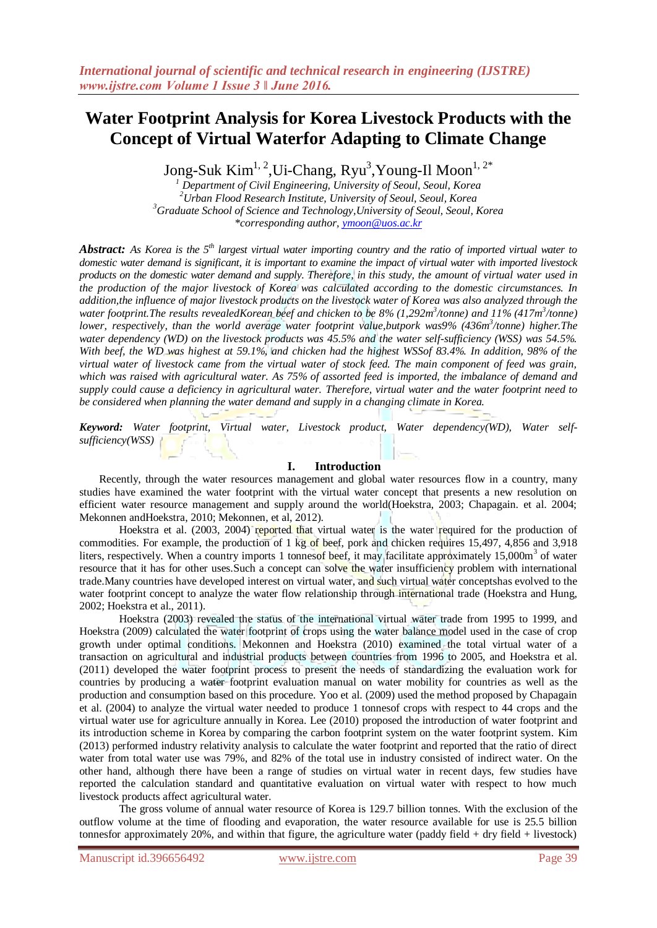# **Water Footprint Analysis for Korea Livestock Products with the Concept of Virtual Waterfor Adapting to Climate Change**

Jong-Suk  $\mathrm{Kim}^{1,\,2},\mathrm{Ui}$ -Chang, Ryu $^3$ ,Young-Il Moon $^{1,\,2^*}$ 

 *Department of Civil Engineering, University of Seoul, Seoul, Korea Urban Flood Research Institute, University of Seoul, Seoul, Korea Graduate School of Science and Technology,University of Seoul, Seoul, Korea \*corresponding author, [ymoon@uos.ac.kr](mailto:ymoon@uos.ac.kr)*

*Abstract: As Korea is the 5th largest virtual water importing country and the ratio of imported virtual water to domestic water demand is significant, it is important to examine the impact of virtual water with imported livestock products on the domestic water demand and supply. Therefore, in this study, the amount of virtual water used in the production of the major livestock of Korea was calculated according to the domestic circumstances. In addition,the influence of major livestock products on the livestock water of Korea was also analyzed through the water footprint.The results revealedKorean beef and chicken to be 8% (1,292m<sup>3</sup> /tonne) and 11% (417m<sup>3</sup> /tonne) lower, respectively, than the world average water footprint value,butpork was9% (436m<sup>3</sup> /tonne) higher.The water dependency (WD) on the livestock products was 45.5% and the water self-sufficiency (WSS) was 54.5%. With beef, the WD was highest at 59.1%, and chicken had the highest WSSof 83.4%. In addition, 98% of the virtual water of livestock came from the virtual water of stock feed. The main component of feed was grain, which* was raised with agricultural water. As 75% of assorted feed is imported, the *imbalance of demand and supply could cause a deficiency in agricultural water. Therefore, virtual water and the water footprint need to be considered when planning the water demand and supply in a changing climate in Korea.*

*Keyword: Water footprint, Virtual water, Livestock product, Water dependency(WD), Water selfsufficiency(WSS)*

## **I. Introduction**

Recently, through the water resources management and global water resources flow in a country, many studies have examined the water footprint with the virtual water concept that presents a new resolution on efficient water resource management and supply around the world(Hoekstra, 2003; Chapagain. et al. 2004; Mekonnen andHoekstra, 2010; Mekonnen, et al, 2012).

Hoekstra et al. (2003, 2004) reported that virtual water is the water required for the production of commodities. For example, the production of 1 kg of beef, pork and chicken requires 15,497, 4,856 and 3,918 liters, respectively. When a country imports 1 tonnesof beef, it may facilitate approximately 15,000m<sup>3</sup> of water resource that it has for other uses. Such a concept can solve the water insufficiency problem with international trade.Many countries have developed interest on virtual water, and such virtual water conceptshas evolved to the water footprint concept to analyze the water flow relationship through international trade (Hoekstra and Hung, 2002; Hoekstra et al., 2011).

Hoekstra (2003) revealed the status of the international virtual water trade from 1995 to 1999, and Hoekstra (2009) calculated the water footprint of crops using the water balance model used in the case of crop growth under optimal conditions. Mekonnen and Hoekstra (2010) examined the total virtual water of a transaction on agricultural and industrial products between countries from 1996 to 2005, and Hoekstra et al. (2011) developed the water footprint process to present the needs of standardizing the evaluation work for countries by producing a water footprint evaluation manual on water mobility for countries as well as the production and consumption based on this procedure. Yoo et al. (2009) used the method proposed by Chapagain et al. (2004) to analyze the virtual water needed to produce 1 tonnesof crops with respect to 44 crops and the virtual water use for agriculture annually in Korea. Lee (2010) proposed the introduction of water footprint and its introduction scheme in Korea by comparing the carbon footprint system on the water footprint system. Kim (2013) performed industry relativity analysis to calculate the water footprint and reported that the ratio of direct water from total water use was 79%, and 82% of the total use in industry consisted of indirect water. On the other hand, although there have been a range of studies on virtual water in recent days, few studies have reported the calculation standard and quantitative evaluation on virtual water with respect to how much livestock products affect agricultural water.

The gross volume of annual water resource of Korea is 129.7 billion tonnes. With the exclusion of the outflow volume at the time of flooding and evaporation, the water resource available for use is 25.5 billion tonnesfor approximately 20%, and within that figure, the agriculture water (paddy field + dry field + livestock)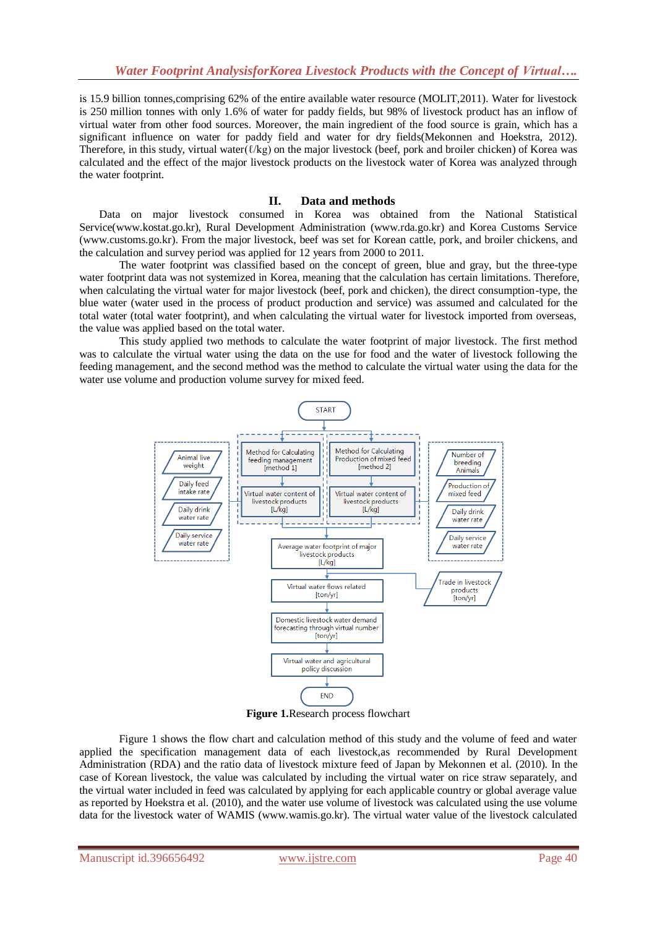is 15.9 billion tonnes,comprising 62% of the entire available water resource (MOLIT,2011). Water for livestock is 250 million tonnes with only 1.6% of water for paddy fields, but 98% of livestock product has an inflow of virtual water from other food sources. Moreover, the main ingredient of the food source is grain, which has a significant influence on water for paddy field and water for dry fields(Mekonnen and Hoekstra, 2012). Therefore, in this study, virtual water(ℓ/kg) on the major livestock (beef, pork and broiler chicken) of Korea was calculated and the effect of the major livestock products on the livestock water of Korea was analyzed through the water footprint.

# **II. Data and methods**

Data on major livestock consumed in Korea was obtained from the National Statistical Service(www.kostat.go.kr), Rural Development Administration (www.rda.go.kr) and Korea Customs Service (www.customs.go.kr). From the major livestock, beef was set for Korean cattle, pork, and broiler chickens, and the calculation and survey period was applied for 12 years from 2000 to 2011.

The water footprint was classified based on the concept of green, blue and gray, but the three-type water footprint data was not systemized in Korea, meaning that the calculation has certain limitations. Therefore, when calculating the virtual water for major livestock (beef, pork and chicken), the direct consumption-type, the blue water (water used in the process of product production and service) was assumed and calculated for the total water (total water footprint), and when calculating the virtual water for livestock imported from overseas, the value was applied based on the total water.

This study applied two methods to calculate the water footprint of major livestock. The first method was to calculate the virtual water using the data on the use for food and the water of livestock following the feeding management, and the second method was the method to calculate the virtual water using the data for the water use volume and production volume survey for mixed feed.



**Figure 1.**Research process flowchart

Figure 1 shows the flow chart and calculation method of this study and the volume of feed and water applied the specification management data of each livestock,as recommended by Rural Development Administration (RDA) and the ratio data of livestock mixture feed of Japan by Mekonnen et al. (2010). In the case of Korean livestock, the value was calculated by including the virtual water on rice straw separately, and the virtual water included in feed was calculated by applying for each applicable country or global average value as reported by Hoekstra et al. (2010), and the water use volume of livestock was calculated using the use volume data for the livestock water of WAMIS (www.wamis.go.kr). The virtual water value of the livestock calculated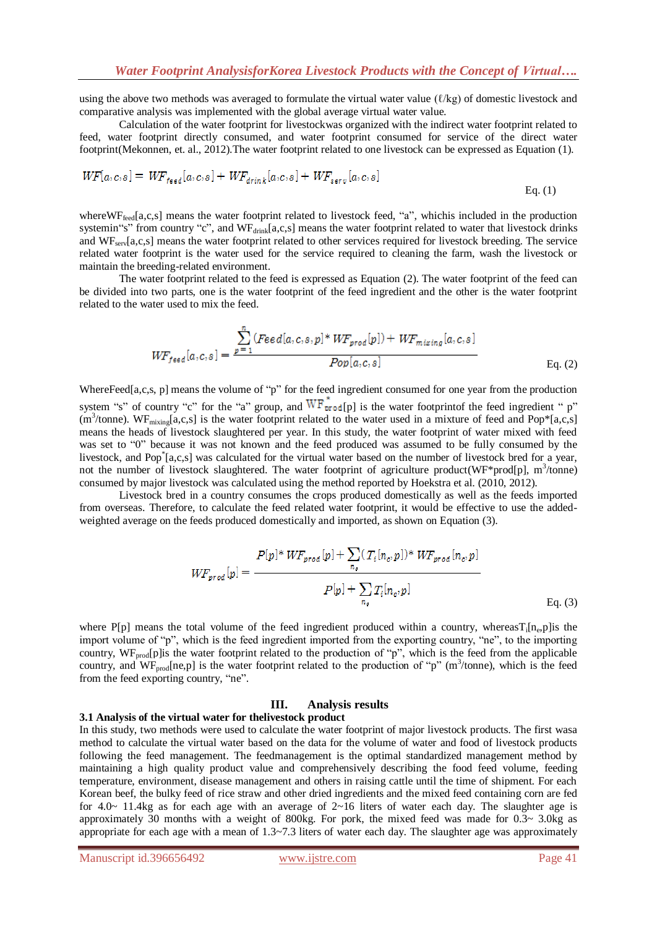using the above two methods was averaged to formulate the virtual water value (ℓ/kg) of domestic livestock and comparative analysis was implemented with the global average virtual water value.

Calculation of the water footprint for livestockwas organized with the indirect water footprint related to feed, water footprint directly consumed, and water footprint consumed for service of the direct water footprint(Mekonnen, et. al., 2012).The water footprint related to one livestock can be expressed as Equation (1).

$$
WF[a,c,s] = WF_{\text{lead}}[a,c,s] + WF_{\text{drink}}[a,c,s] + WF_{\text{serv}}[a,c,s]
$$
  
Eq. (1)

where WF<sub>feed</sub>[a,c,s] means the water footprint related to livestock feed, "a", whichis included in the production systemin"s" from country "c", and  $WF_{drink}[a,c,s]$  means the water footprint related to water that livestock drinks and  $W_{\text{F}}$ <sub>cerv</sub>[a,c,s] means the water footprint related to other services required for livestock breeding. The service related water footprint is the water used for the service required to cleaning the farm, wash the livestock or maintain the breeding-related environment.

The water footprint related to the feed is expressed as Equation (2). The water footprint of the feed can be divided into two parts, one is the water footprint of the feed ingredient and the other is the water footprint related to the water used to mix the feed.

$$
WF_{\text{feed}}[a, c, s] = \frac{\sum_{p=1}^{n} (\text{Head}[a, c, s, p] * WF_{\text{prod}}[p]) + WF_{\text{mixing}}[a, c, s]}{\text{Pop}[a, c, s]}
$$
 Eq. (2)

WhereFeed[a,c,s, p] means the volume of "p" for the feed ingredient consumed for one year from the production system "s" of country "c" for the "a" group, and  $WF_{\text{prod}[p]}^{*}$  is the water footprintof the feed ingredient " p"  $(m<sup>3</sup>/tonne)$ . WF<sub>mixing</sub>[a,c,s] is the water footprint related to the water used in a mixture of feed and Pop\*[a,c,s] means the heads of livestock slaughtered per year. In this study, the water footprint of water mixed with feed was set to "0" because it was not known and the feed produced was assumed to be fully consumed by the livestock, and Pop<sup>\*</sup>[a,c,s] was calculated for the virtual water based on the number of livestock bred for a year, not the number of livestock slaughtered. The water footprint of agriculture product(WF\*prod[p], m<sup>3</sup>/tonne) consumed by major livestock was calculated using the method reported by Hoekstra et al. (2010, 2012).

Livestock bred in a country consumes the crops produced domestically as well as the feeds imported from overseas. Therefore, to calculate the feed related water footprint, it would be effective to use the addedweighted average on the feeds produced domestically and imported, as shown on Equation (3).

$$
WF_{prod}[p] = \frac{P[p]^{*} WF_{prod}[p] + \sum_{n_{o}} (T_{i}[n_{o}, p])^{*} WF_{prod}[n_{o}, p]}{P[p] + \sum_{n_{o}} T_{i}[n_{o}, p]}
$$
  
Eq. (3)

where P[p] means the total volume of the feed ingredient produced within a country, whereasT<sub>i</sub>[n<sub>e</sub>,p]is the import volume of "p", which is the feed ingredient imported from the exporting country, "ne", to the importing country, WF<sub>prod</sub>[p]is the water footprint related to the production of "p", which is the feed from the applicable country, and  $WF_{prod}[ne,p]$  is the water footprint related to the production of "p" (m<sup>3</sup>/tonne), which is the feed from the feed exporting country, "ne".

### **III. Analysis results**

#### **3.1 Analysis of the virtual water for thelivestock product**

In this study, two methods were used to calculate the water footprint of major livestock products. The first wasa method to calculate the virtual water based on the data for the volume of water and food of livestock products following the feed management. The feedmanagement is the optimal standardized management method by maintaining a high quality product value and comprehensively describing the food feed volume, feeding temperature, environment, disease management and others in raising cattle until the time of shipment. For each Korean beef, the bulky feed of rice straw and other dried ingredients and the mixed feed containing corn are fed for 4.0~ 11.4kg as for each age with an average of  $2~16$  liters of water each day. The slaughter age is approximately 30 months with a weight of 800kg. For pork, the mixed feed was made for  $0.3 \sim 3.0$ kg as appropriate for each age with a mean of  $1.3 \times 7.3$  liters of water each day. The slaughter age was approximately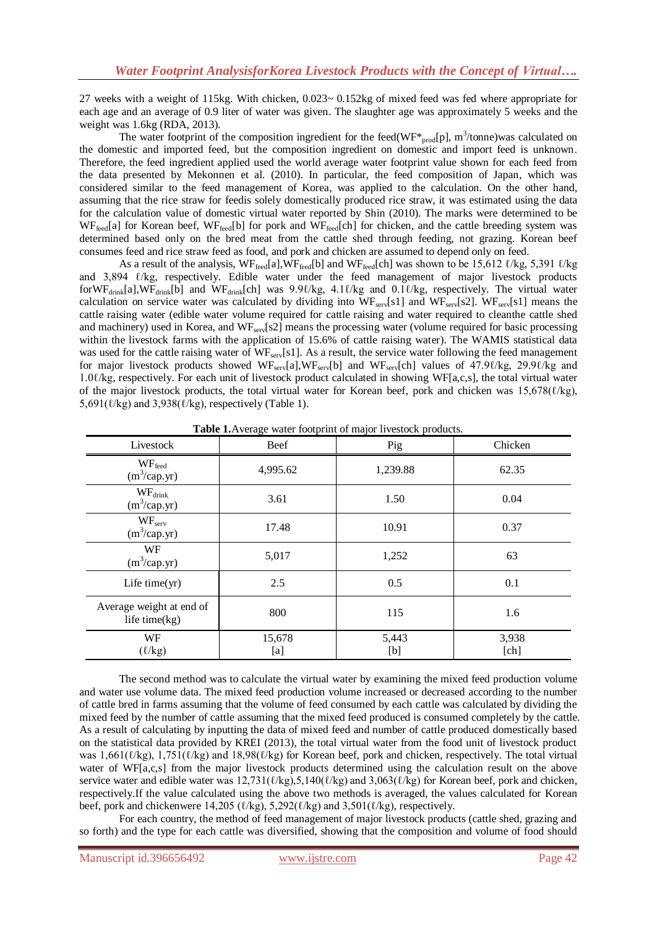27 weeks with a weight of 115kg. With chicken,  $0.023 \sim 0.152$ kg of mixed feed was fed where appropriate for each age and an average of 0.9 liter of water was given. The slaughter age was approximately 5 weeks and the weight was 1.6kg (RDA, 2013).

The water footprint of the composition ingredient for the feed(WF<sup>\*</sup><sub>prod</sub>[p], m<sup>3</sup>/tonne)was calculated on the domestic and imported feed, but the composition ingredient on domestic and import feed is unknown. Therefore, the feed ingredient applied used the world average water footprint value shown for each feed from the data presented by Mekonnen et al. (2010). In particular, the feed composition of Japan, which was considered similar to the feed management of Korea, was applied to the calculation. On the other hand, assuming that the rice straw for feedis solely domestically produced rice straw, it was estimated using the data for the calculation value of domestic virtual water reported by Shin (2010). The marks were determined to be WF<sub>feed</sub>[a] for Korean beef, WF<sub>feed</sub>[b] for pork and WF<sub>feed</sub>[ch] for chicken, and the cattle breeding system was determined based only on the bred meat from the cattle shed through feeding, not grazing. Korean beef consumes feed and rice straw feed as food, and pork and chicken are assumed to depend only on feed.

As a result of the analysis,  $WF_{\text{feed}}[a]$ ,  $WF_{\text{feed}}[b]$  and  $WF_{\text{feed}}[ch]$  was shown to be 15,612  $\ell$ /kg, 5,391  $\ell$ /kg and 3,894 *ℓ/kg*, respectively. Edible water under the feed management of major livestock products forWF<sub>drink</sub>[a],WF<sub>drink</sub>[b] and WF<sub>drink</sub>[ch] was 9.9ℓ/kg, 4.1ℓ/kg and 0.1ℓ/kg, respectively. The virtual water calculation on service water was calculated by dividing into  $WF_{\text{serv}}[s1]$  and  $WF_{\text{serv}}[s2]$ .  $WF_{\text{serv}}[s1]$  means the cattle raising water (edible water volume required for cattle raising and water required to cleanthe cattle shed and machinery) used in Korea, and  $WF<sub>serv</sub>[s2]$  means the processing water (volume required for basic processing within the livestock farms with the application of 15.6% of cattle raising water). The WAMIS statistical data was used for the cattle raising water of WF<sub>serv</sub>[s1]. As a result, the service water following the feed management for major livestock products showed WF<sub>serv</sub>[a],WF<sub>serv</sub>[b] and WF<sub>serv</sub>[ch] values of 47.9ℓ/kg, 29.9ℓ/kg and 1.0ℓ/kg, respectively. For each unit of livestock product calculated in showing WF[a,c,s], the total virtual water of the major livestock products, the total virtual water for Korean beef, pork and chicken was 15,678( $\ell$ /kg),  $5,691(\ell/kg)$  and  $3,938(\ell/kg)$ , respectively (Table 1).

| Livestock                                    | Beef          | Pig          | Chicken       |  |
|----------------------------------------------|---------------|--------------|---------------|--|
| $WF_{\text{feed}}$<br>$(m^3/cap.yr)$         | 4,995.62      | 1,239.88     | 62.35         |  |
| $WF_{\text{drink}}$<br>$(m^3/cap.yr)$        | 3.61          | 1.50         | 0.04          |  |
| WF <sub>serv</sub><br>$(m^3/cap.yr)$         | 17.48         | 10.91        | 0.37          |  |
| WF<br>$(m^3/cap.yr)$                         | 5,017         | 1,252        | 63            |  |
| Life time $(yr)$                             | 2.5           | 0.5          | 0.1           |  |
| Average weight at end of<br>life time $(kg)$ | 800<br>115    |              | 1.6           |  |
| WF<br>$(\ell$ /kg)                           | 15,678<br>[a] | 5,443<br>[b] | 3,938<br>[ch] |  |

**Table 1.**Average water footprint of major livestock products.

The second method was to calculate the virtual water by examining the mixed feed production volume and water use volume data. The mixed feed production volume increased or decreased according to the number of cattle bred in farms assuming that the volume of feed consumed by each cattle was calculated by dividing the mixed feed by the number of cattle assuming that the mixed feed produced is consumed completely by the cattle. As a result of calculating by inputting the data of mixed feed and number of cattle produced domestically based on the statistical data provided by KREI (2013), the total virtual water from the food unit of livestock product was  $1,661(\ell/\text{kg})$ ,  $1,751(\ell/\text{kg})$  and  $18,98(\ell/\text{kg})$  for Korean beef, pork and chicken, respectively. The total virtual water of WF[a,c,s] from the major livestock products determined using the calculation result on the above service water and edible water was  $12,731(\ell\text{/kg})$ ,5,140( $\ell\text{/kg}$ ) and 3,063( $\ell\text{/kg}$ ) for Korean beef, pork and chicken, respectively.If the value calculated using the above two methods is averaged, the values calculated for Korean beef, pork and chickenwere 14,205 ( $\ell$ /kg), 5,292( $\ell$ /kg) and 3,501( $\ell$ /kg), respectively.

For each country, the method of feed management of major livestock products (cattle shed, grazing and so forth) and the type for each cattle was diversified, showing that the composition and volume of food should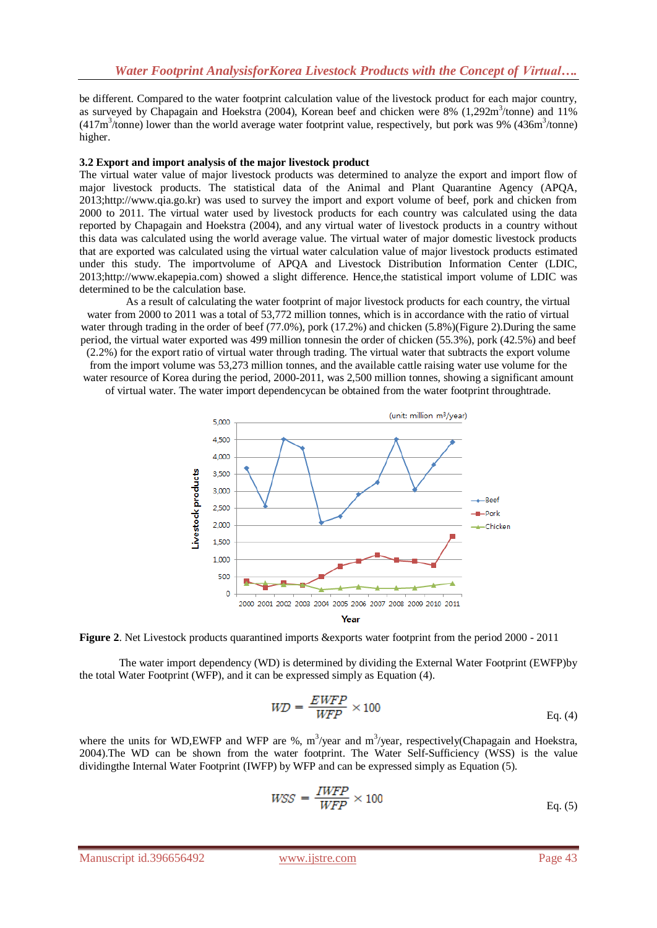be different. Compared to the water footprint calculation value of the livestock product for each major country, as surveyed by Chapagain and Hoekstra (2004), Korean beef and chicken were 8% (1,292m<sup>3</sup>/tonne) and 11%  $(417m<sup>3</sup>/tonne)$  lower than the world average water footprint value, respectively, but pork was 9%  $(436m<sup>3</sup>/tonne)$ higher.

# **3.2 Export and import analysis of the major livestock product**

The virtual water value of major livestock products was determined to analyze the export and import flow of major livestock products. The statistical data of the Animal and Plant Quarantine Agency (APQA, 2013;http://www.qia.go.kr) was used to survey the import and export volume of beef, pork and chicken from 2000 to 2011. The virtual water used by livestock products for each country was calculated using the data reported by Chapagain and Hoekstra (2004), and any virtual water of livestock products in a country without this data was calculated using the world average value. The virtual water of major domestic livestock products that are exported was calculated using the virtual water calculation value of major livestock products estimated under this study. The importvolume of APQA and Livestock Distribution Information Center (LDIC, 2013;http://www.ekapepia.com) showed a slight difference. Hence,the statistical import volume of LDIC was determined to be the calculation base.

As a result of calculating the water footprint of major livestock products for each country, the virtual water from 2000 to 2011 was a total of 53,772 million tonnes, which is in accordance with the ratio of virtual water through trading in the order of beef (77.0%), pork (17.2%) and chicken (5.8%)(Figure 2).During the same period, the virtual water exported was 499 million tonnesin the order of chicken (55.3%), pork (42.5%) and beef (2.2%) for the export ratio of virtual water through trading. The virtual water that subtracts the export volume from the import volume was 53,273 million tonnes, and the available cattle raising water use volume for the water resource of Korea during the period, 2000-2011, was 2,500 million tonnes, showing a significant amount of virtual water. The water import dependencycan be obtained from the water footprint throughtrade.





The water import dependency (WD) is determined by dividing the External Water Footprint (EWFP)by the total Water Footprint (WFP), and it can be expressed simply as Equation (4).

$$
WD = \frac{EWFP}{WFP} \times 100
$$
 Eq. (4)

where the units for WD, EWFP and WFP are %,  $m^3$ /year and  $m^3$ /year, respectively(Chapagain and Hoekstra, 2004).The WD can be shown from the water footprint. The Water Self-Sufficiency (WSS) is the value dividingthe Internal Water Footprint (IWFP) by WFP and can be expressed simply as Equation (5).

$$
WSS = \frac{IWFP}{WFP} \times 100
$$
 Eq. (5)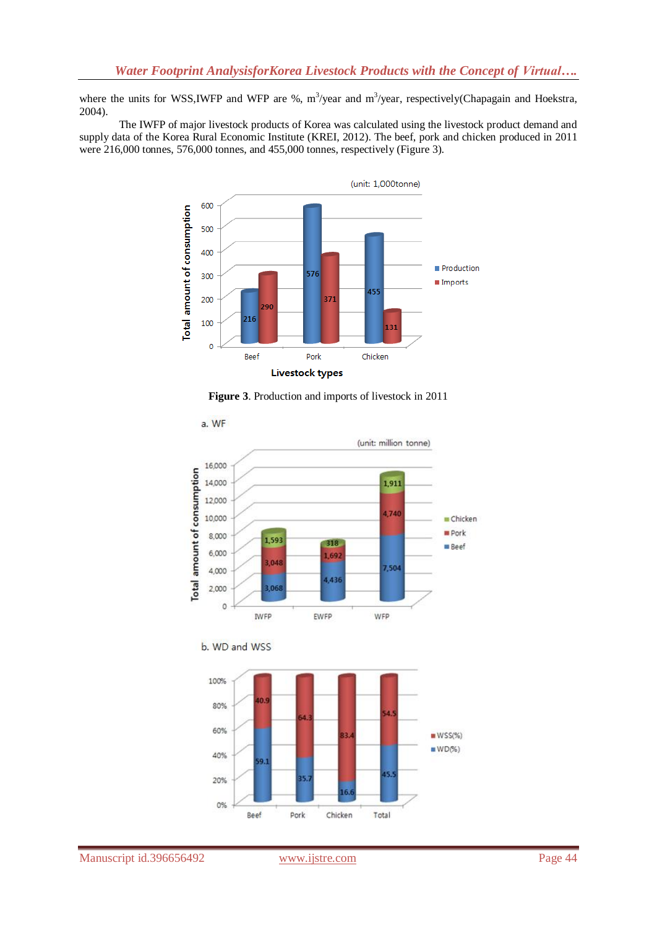where the units for WSS, IWFP and WFP are %,  $m^3$ /year and  $m^3$ /year, respectively(Chapagain and Hoekstra, 2004).

The IWFP of major livestock products of Korea was calculated using the livestock product demand and supply data of the Korea Rural Economic Institute (KREI, 2012). The beef, pork and chicken produced in 2011 were 216,000 tonnes, 576,000 tonnes, and 455,000 tonnes, respectively (Figure 3).



**Figure 3**. Production and imports of livestock in 2011



b. WD and WSS

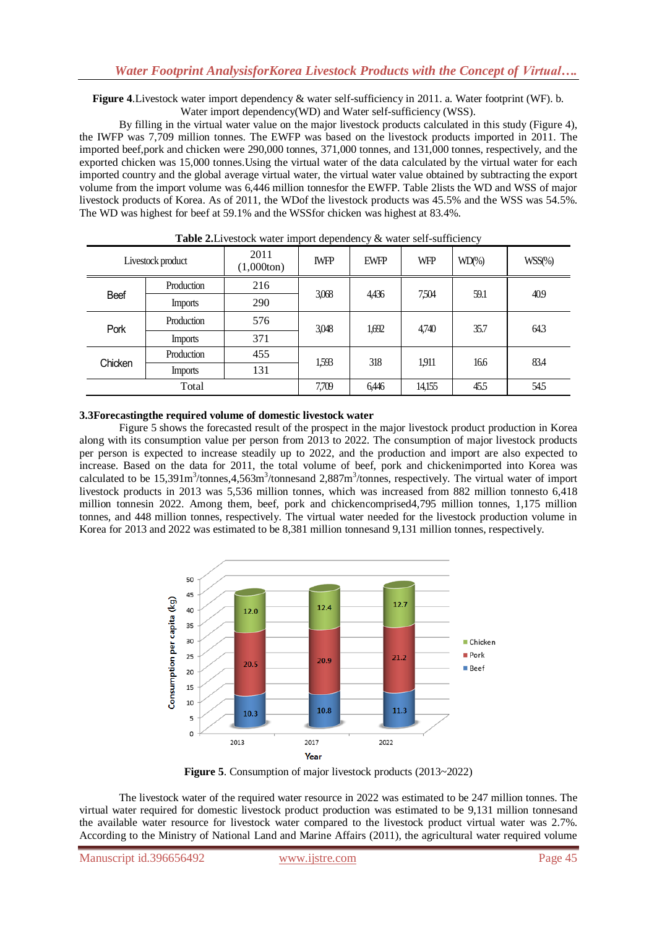**Figure 4**.Livestock water import dependency & water self-sufficiency in 2011. a. Water footprint (WF). b. Water import dependency(WD) and Water self-sufficiency (WSS).

By filling in the virtual water value on the major livestock products calculated in this study (Figure 4), the IWFP was 7,709 million tonnes. The EWFP was based on the livestock products imported in 2011. The imported beef,pork and chicken were 290,000 tonnes, 371,000 tonnes, and 131,000 tonnes, respectively, and the exported chicken was 15,000 tonnes.Using the virtual water of the data calculated by the virtual water for each imported country and the global average virtual water, the virtual water value obtained by subtracting the export volume from the import volume was 6,446 million tonnesfor the EWFP. Table 2lists the WD and WSS of major livestock products of Korea. As of 2011, the WDof the livestock products was 45.5% and the WSS was 54.5%. The WD was highest for beef at 59.1% and the WSSfor chicken was highest at 83.4%.

| Livestock product |                | 2011<br>$(1,000 \text{ton})$ | $\mathbf{r}$<br><b>IWFP</b> | <b>EWFP</b> | <b>WFP</b> | $WD\%)$ | $WSS(\%)$ |
|-------------------|----------------|------------------------------|-----------------------------|-------------|------------|---------|-----------|
| Beef              | Production     | 216                          | 3,068                       | 4,436       | 7,504      | 59.1    | 40.9      |
|                   | <b>Imports</b> | 290                          |                             |             |            |         |           |
| Pork              | Production     | 576                          | 3,048                       | 1,692       | 4,740      | 35.7    | 64.3      |
|                   | <b>Imports</b> | 371                          |                             |             |            |         |           |
| Chicken           | Production     | 455                          | 1,593                       | 318         | 1911       | 166     | 83.4      |
|                   | Imports        | 131                          |                             |             |            |         |           |
| Total             |                | 7,709                        | 6,446                       | 14,155      | 455        | 54.5    |           |

**Table 2.** Livestock water import dependency & water self-sufficiency

# **3.3Forecastingthe required volume of domestic livestock water**

Figure 5 shows the forecasted result of the prospect in the major livestock product production in Korea along with its consumption value per person from 2013 to 2022. The consumption of major livestock products per person is expected to increase steadily up to 2022, and the production and import are also expected to increase. Based on the data for 2011, the total volume of beef, pork and chickenimported into Korea was calculated to be  $15,391m<sup>3</sup>/tonnes,4,563m<sup>3</sup>/tonnes and 2,887m<sup>3</sup>/tonnes, respectively. The virtual water of import$ livestock products in 2013 was 5,536 million tonnes, which was increased from 882 million tonnesto 6,418 million tonnesin 2022. Among them, beef, pork and chickencomprised4,795 million tonnes, 1,175 million tonnes, and 448 million tonnes, respectively. The virtual water needed for the livestock production volume in Korea for 2013 and 2022 was estimated to be 8,381 million tonnesand 9,131 million tonnes, respectively.



**Figure 5**. Consumption of major livestock products (2013~2022)

The livestock water of the required water resource in 2022 was estimated to be 247 million tonnes. The virtual water required for domestic livestock product production was estimated to be 9,131 million tonnesand the available water resource for livestock water compared to the livestock product virtual water was 2.7%. According to the Ministry of National Land and Marine Affairs (2011), the agricultural water required volume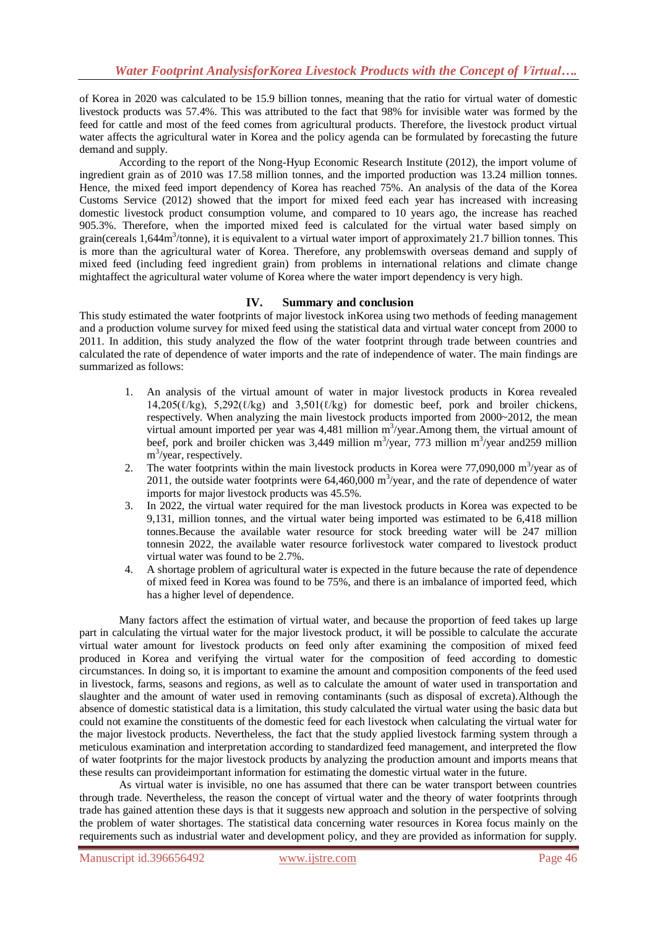of Korea in 2020 was calculated to be 15.9 billion tonnes, meaning that the ratio for virtual water of domestic livestock products was 57.4%. This was attributed to the fact that 98% for invisible water was formed by the feed for cattle and most of the feed comes from agricultural products. Therefore, the livestock product virtual water affects the agricultural water in Korea and the policy agenda can be formulated by forecasting the future demand and supply.

According to the report of the Nong-Hyup Economic Research Institute (2012), the import volume of ingredient grain as of 2010 was 17.58 million tonnes, and the imported production was 13.24 million tonnes. Hence, the mixed feed import dependency of Korea has reached 75%. An analysis of the data of the Korea Customs Service (2012) showed that the import for mixed feed each year has increased with increasing domestic livestock product consumption volume, and compared to 10 years ago, the increase has reached 905.3%. Therefore, when the imported mixed feed is calculated for the virtual water based simply on grain(cereals 1,644m<sup>3</sup>/tonne), it is equivalent to a virtual water import of approximately 21.7 billion tonnes. This is more than the agricultural water of Korea. Therefore, any problemswith overseas demand and supply of mixed feed (including feed ingredient grain) from problems in international relations and climate change mightaffect the agricultural water volume of Korea where the water import dependency is very high.

# **IV. Summary and conclusion**

This study estimated the water footprints of major livestock inKorea using two methods of feeding management and a production volume survey for mixed feed using the statistical data and virtual water concept from 2000 to 2011. In addition, this study analyzed the flow of the water footprint through trade between countries and calculated the rate of dependence of water imports and the rate of independence of water. The main findings are summarized as follows:

- 1. An analysis of the virtual amount of water in major livestock products in Korea revealed  $14,205(\ell/kg)$ ,  $5,292(\ell/kg)$  and  $3,501(\ell/kg)$  for domestic beef, pork and broiler chickens, respectively. When analyzing the main livestock products imported from 2000~2012, the mean virtual amount imported per year was  $4,481$  million m<sup>3</sup>/year. Among them, the virtual amount of beef, pork and broiler chicken was 3,449 million  $m^3$ /year, 773 million  $m^3$ /year and259 million m<sup>3</sup>/year, respectively.
- 2. The water footprints within the main livestock products in Korea were  $77,090,000$  m<sup>3</sup>/year as of 2011, the outside water footprints were  $64,460,000$  m<sup>3</sup>/year, and the rate of dependence of water imports for major livestock products was 45.5%.
- 3. In 2022, the virtual water required for the man livestock products in Korea was expected to be 9,131, million tonnes, and the virtual water being imported was estimated to be 6,418 million tonnes.Because the available water resource for stock breeding water will be 247 million tonnesin 2022, the available water resource forlivestock water compared to livestock product virtual water was found to be 2.7%.
- 4. A shortage problem of agricultural water is expected in the future because the rate of dependence of mixed feed in Korea was found to be 75%, and there is an imbalance of imported feed, which has a higher level of dependence.

Many factors affect the estimation of virtual water, and because the proportion of feed takes up large part in calculating the virtual water for the major livestock product, it will be possible to calculate the accurate virtual water amount for livestock products on feed only after examining the composition of mixed feed produced in Korea and verifying the virtual water for the composition of feed according to domestic circumstances. In doing so, it is important to examine the amount and composition components of the feed used in livestock, farms, seasons and regions, as well as to calculate the amount of water used in transportation and slaughter and the amount of water used in removing contaminants (such as disposal of excreta).Although the absence of domestic statistical data is a limitation, this study calculated the virtual water using the basic data but could not examine the constituents of the domestic feed for each livestock when calculating the virtual water for the major livestock products. Nevertheless, the fact that the study applied livestock farming system through a meticulous examination and interpretation according to standardized feed management, and interpreted the flow of water footprints for the major livestock products by analyzing the production amount and imports means that these results can provideimportant information for estimating the domestic virtual water in the future.

As virtual water is invisible, no one has assumed that there can be water transport between countries through trade. Nevertheless, the reason the concept of virtual water and the theory of water footprints through trade has gained attention these days is that it suggests new approach and solution in the perspective of solving the problem of water shortages. The statistical data concerning water resources in Korea focus mainly on the requirements such as industrial water and development policy, and they are provided as information for supply.